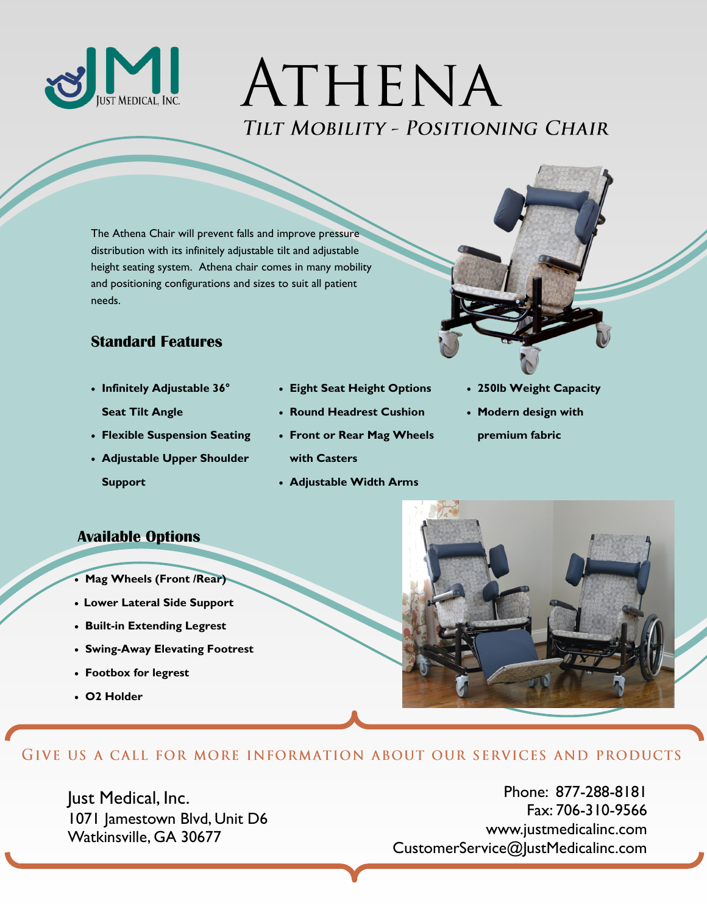

# ATHENA TILT MOBILITY - POSITIONING CHAIR

The Athena Chair will prevent falls and improve pressure distribution with its infinitely adjustable tilt and adjustable height seating system. Athena chair comes in many mobility and positioning configurations and sizes to suit all patient needs.

### **Standard Features**

- **Infinitely Adjustable 36° Seat Tilt Angle**
- **Flexible Suspension Seating**
- **Adjustable Upper Shoulder Support**
- **Eight Seat Height Options**
- **Round Headrest Cushion**
- **Front or Rear Mag Wheels with Casters**
- **Adjustable Width Arms**
- **250lb Weight Capacity**
- **Modern design with premium fabric**

#### **Available Options**

- **Mag Wheels (Front /Rear)**
- **Lower Lateral Side Support**
- **Built-in Extending Legrest**
- **Swing-Away Elevating Footrest**
- **Footbox for legrest**
- **O2 Holder**



#### GIVE US A CALL FOR MORE INFORMATION ABOUT OUR SERVICES AND PRODUCTS

Just Medical, Inc. 1071 Jamestown Blvd, Unit D6 Watkinsville, GA 30677

Phone: 877-288-8181 Fax: 706-310-9566 www.justmedicalinc.com CustomerService@JustMedicalinc.com